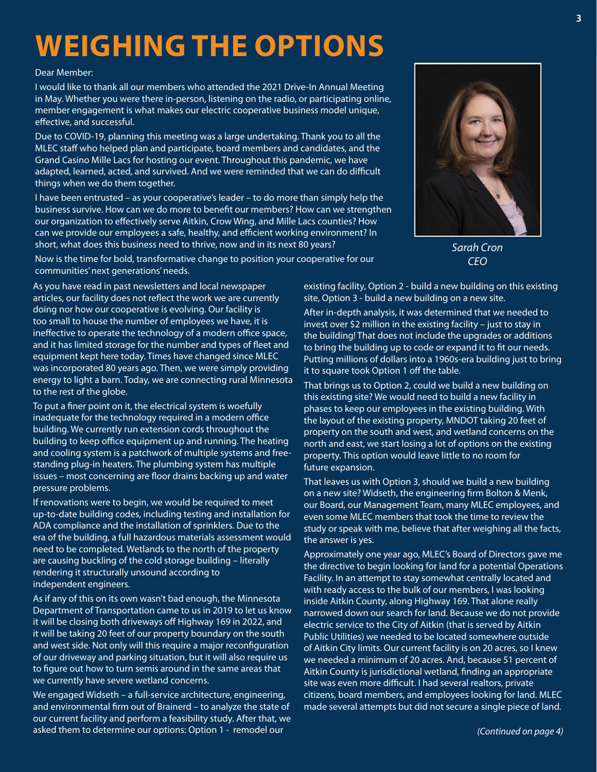### **WEIGHING THE OPTIONS**

#### Dear Member:

I would like to thank all our members who attended the 2021 Drive-In Annual Meeting in May. Whether you were there in-person, listening on the radio, or participating online, member engagement is what makes our electric cooperative business model unique, effective, and successful.

Due to COVID-19, planning this meeting was a large undertaking. Thank you to all the MLEC staff who helped plan and participate, board members and candidates, and the Grand Casino Mille Lacs for hosting our event. Throughout this pandemic, we have adapted, learned, acted, and survived. And we were reminded that we can do difficult things when we do them together.

I have been entrusted – as your cooperative's leader – to do more than simply help the business survive. How can we do more to benefit our members? How can we strengthen our organization to effectively serve Aitkin, Crow Wing, and Mille Lacs counties? How can we provide our employees a safe, healthy, and efficient working environment? In short, what does this business need to thrive, now and in its next 80 years?

Now is the time for bold, transformative change to position your cooperative for our communities' next generations' needs.

As you have read in past newsletters and local newspaper articles, our facility does not reflect the work we are currently doing nor how our cooperative is evolving. Our facility is too small to house the number of employees we have, it is ineffective to operate the technology of a modern office space, and it has limited storage for the number and types of fleet and equipment kept here today. Times have changed since MLEC was incorporated 80 years ago. Then, we were simply providing energy to light a barn. Today, we are connecting rural Minnesota to the rest of the globe.

To put a finer point on it, the electrical system is woefully inadequate for the technology required in a modern office building. We currently run extension cords throughout the building to keep office equipment up and running. The heating and cooling system is a patchwork of multiple systems and freestanding plug-in heaters. The plumbing system has multiple issues – most concerning are floor drains backing up and water pressure problems.

If renovations were to begin, we would be required to meet up-to-date building codes, including testing and installation for ADA compliance and the installation of sprinklers. Due to the era of the building, a full hazardous materials assessment would need to be completed. Wetlands to the north of the property are causing buckling of the cold storage building – literally rendering it structurally unsound according to independent engineers.

As if any of this on its own wasn't bad enough, the Minnesota Department of Transportation came to us in 2019 to let us know it will be closing both driveways off Highway 169 in 2022, and it will be taking 20 feet of our property boundary on the south and west side. Not only will this require a major reconfiguration of our driveway and parking situation, but it will also require us to figure out how to turn semis around in the same areas that we currently have severe wetland concerns.

We engaged Widseth – a full-service architecture, engineering, and environmental firm out of Brainerd – to analyze the state of our current facility and perform a feasibility study. After that, we asked them to determine our options: Option 1 - remodel our

existing facility, Option 2 - build a new building on this existing site, Option 3 - build a new building on a new site.

After in-depth analysis, it was determined that we needed to invest over \$2 million in the existing facility – just to stay in the building! That does not include the upgrades or additions to bring the building up to code or expand it to fit our needs. Putting millions of dollars into a 1960s-era building just to bring it to square took Option 1 off the table.

That brings us to Option 2, could we build a new building on this existing site? We would need to build a new facility in phases to keep our employees in the existing building. With the layout of the existing property, MNDOT taking 20 feet of property on the south and west, and wetland concerns on the north and east, we start losing a lot of options on the existing property. This option would leave little to no room for future expansion.

That leaves us with Option 3, should we build a new building on a new site? Widseth, the engineering firm Bolton & Menk, our Board, our Management Team, many MLEC employees, and even some MLEC members that took the time to review the study or speak with me, believe that after weighing all the facts, the answer is yes.

Approximately one year ago, MLEC's Board of Directors gave me the directive to begin looking for land for a potential Operations Facility. In an attempt to stay somewhat centrally located and with ready access to the bulk of our members, I was looking inside Aitkin County, along Highway 169. That alone really narrowed down our search for land. Because we do not provide electric service to the City of Aitkin (that is served by Aitkin Public Utilities) we needed to be located somewhere outside of Aitkin City limits. Our current facility is on 20 acres, so I knew we needed a minimum of 20 acres. And, because 51 percent of Aitkin County is jurisdictional wetland, finding an appropriate site was even more difficult. I had several realtors, private citizens, board members, and employees looking for land. MLEC made several attempts but did not secure a single piece of land.